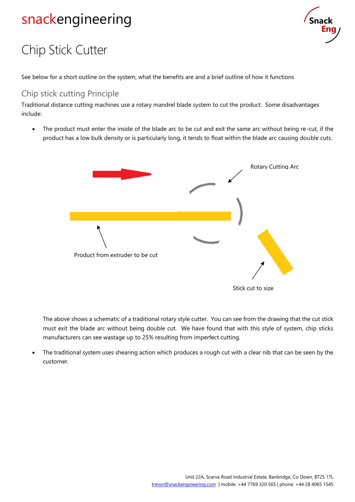# snackengineering



# Chip Stick Cutter

See below for a short outline on the system, what the benefits are and a brief outline of how it functions

#### Chip stick cutting Principle

Traditional distance cutting machines use a rotary mandrel blade system to cut the product. Some disadvantages include:

The product must enter the inside of the blade arc to be cut and exit the same arc without being re-cut, if the product has a low bulk density or is particularly long, it tends to float within the blade arc causing double cuts.



The above shows a schematic of a traditional rotary style cutter. You can see from the drawing that the cut stick must exit the blade arc without being double cut. We have found that with this style of system, chip sticks manufacturers can see wastage up to 25% resulting from imperfect cutting.

The traditional system uses shearing action which produces a rough cut with a clear nib that can be seen by the customer.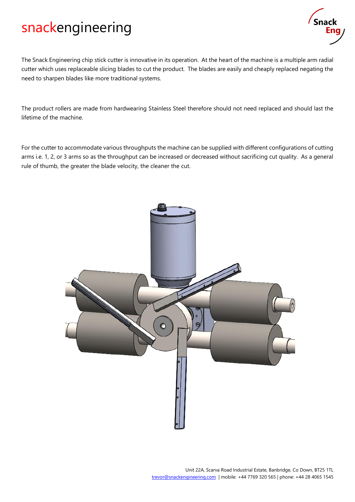## snackengineering



The Snack Engineering chip stick cutter is innovative in its operation. At the heart of the machine is a multiple arm radial cutter which uses replaceable slicing blades to cut the product. The blades are easily and cheaply replaced negating the need to sharpen blades like more traditional systems.

The product rollers are made from hardwearing Stainless Steel therefore should not need replaced and should last the lifetime of the machine.

For the cutter to accommodate various throughputs the machine can be supplied with different configurations of cutting arms i.e. 1, 2, or 3 arms so as the throughput can be increased or decreased without sacrificing cut quality. As a general rule of thumb, the greater the blade velocity, the cleaner the cut.